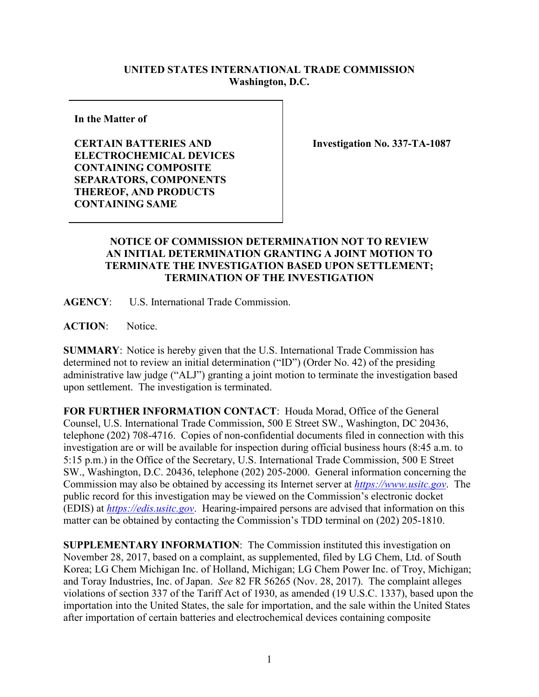## **UNITED STATES INTERNATIONAL TRADE COMMISSION Washington, D.C.**

**In the Matter of**

**CERTAIN BATTERIES AND ELECTROCHEMICAL DEVICES CONTAINING COMPOSITE SEPARATORS, COMPONENTS THEREOF, AND PRODUCTS CONTAINING SAME**

**Investigation No. 337-TA-1087**

## **NOTICE OF COMMISSION DETERMINATION NOT TO REVIEW AN INITIAL DETERMINATION GRANTING A JOINT MOTION TO TERMINATE THE INVESTIGATION BASED UPON SETTLEMENT; TERMINATION OF THE INVESTIGATION**

**AGENCY**: U.S. International Trade Commission.

ACTION: Notice.

**SUMMARY**: Notice is hereby given that the U.S. International Trade Commission has determined not to review an initial determination ("ID") (Order No. 42) of the presiding administrative law judge ("ALJ") granting a joint motion to terminate the investigation based upon settlement. The investigation is terminated.

**FOR FURTHER INFORMATION CONTACT**: Houda Morad, Office of the General Counsel, U.S. International Trade Commission, 500 E Street SW., Washington, DC 20436, telephone (202) 708-4716. Copies of non-confidential documents filed in connection with this investigation are or will be available for inspection during official business hours (8:45 a.m. to 5:15 p.m.) in the Office of the Secretary, U.S. International Trade Commission, 500 E Street SW., Washington, D.C. 20436, telephone (202) 205-2000. General information concerning the Commission may also be obtained by accessing its Internet server at *[https://www.usitc.gov](https://www.usitc.gov/)*. The public record for this investigation may be viewed on the Commission's electronic docket (EDIS) at *[https://edis.usitc.gov](http://edis.usitc.gov/)*. Hearing-impaired persons are advised that information on this matter can be obtained by contacting the Commission's TDD terminal on (202) 205-1810.

**SUPPLEMENTARY INFORMATION**: The Commission instituted this investigation on November 28, 2017, based on a complaint, as supplemented, filed by LG Chem, Ltd. of South Korea; LG Chem Michigan Inc. of Holland, Michigan; LG Chem Power Inc. of Troy, Michigan; and Toray Industries, Inc. of Japan. *See* 82 FR 56265 (Nov. 28, 2017). The complaint alleges violations of section 337 of the Tariff Act of 1930, as amended (19 U.S.C. 1337), based upon the importation into the United States, the sale for importation, and the sale within the United States after importation of certain batteries and electrochemical devices containing composite